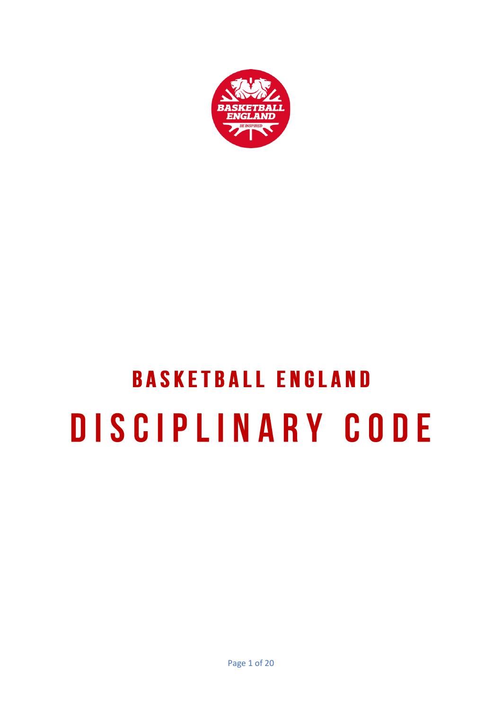

# **BASKETBALL ENGLAND** DISCIPLINARY CODE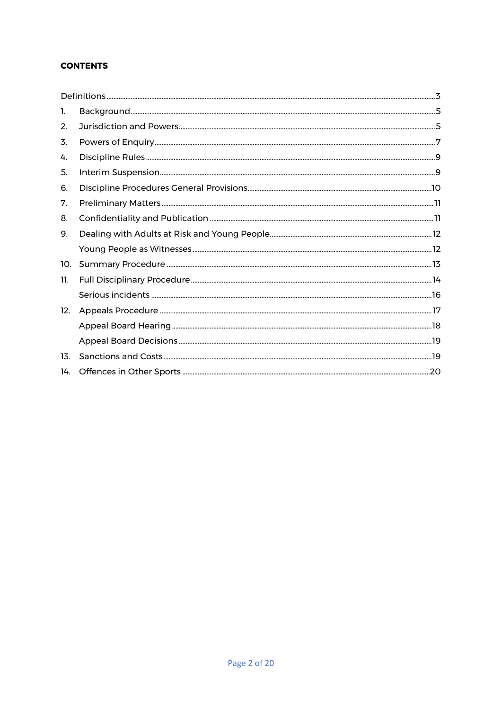# **CONTENTS**

| 1.  |  |
|-----|--|
| 2.  |  |
| 3.  |  |
| 4.  |  |
| 5.  |  |
| 6.  |  |
| 7.  |  |
| 8.  |  |
| 9.  |  |
|     |  |
| 10. |  |
| 11. |  |
|     |  |
| 12. |  |
|     |  |
|     |  |
| 13. |  |
| 14. |  |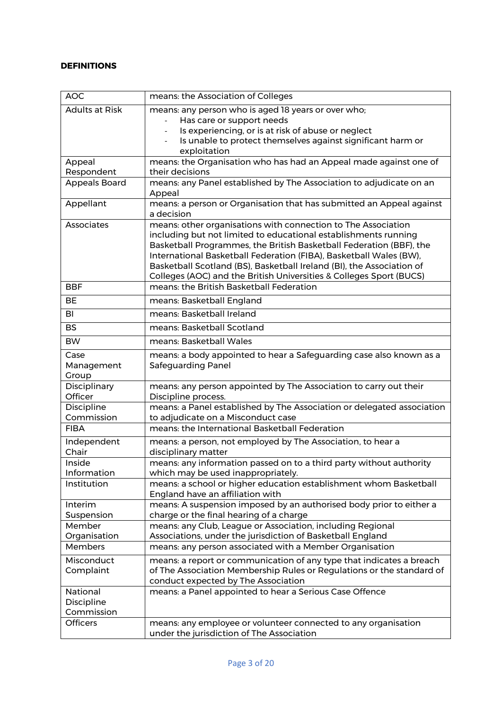# <span id="page-2-0"></span>**DEFINITIONS**

| <b>AOC</b>            | means: the Association of Colleges                                                                          |
|-----------------------|-------------------------------------------------------------------------------------------------------------|
| <b>Adults at Risk</b> | means: any person who is aged 18 years or over who;                                                         |
|                       | Has care or support needs                                                                                   |
|                       | Is experiencing, or is at risk of abuse or neglect                                                          |
|                       | Is unable to protect themselves against significant harm or                                                 |
|                       | exploitation                                                                                                |
| Appeal                | means: the Organisation who has had an Appeal made against one of                                           |
| Respondent            | their decisions                                                                                             |
| Appeals Board         | means: any Panel established by The Association to adjudicate on an<br>Appeal                               |
| Appellant             | means: a person or Organisation that has submitted an Appeal against                                        |
|                       | a decision                                                                                                  |
| Associates            | means: other organisations with connection to The Association                                               |
|                       | including but not limited to educational establishments running                                             |
|                       | Basketball Programmes, the British Basketball Federation (BBF), the                                         |
|                       | International Basketball Federation (FIBA), Basketball Wales (BW),                                          |
|                       | Basketball Scotland (BS), Basketball Ireland (BI), the Association of                                       |
|                       | Colleges (AOC) and the British Universities & Colleges Sport (BUCS)                                         |
| <b>BBF</b>            | means: the British Basketball Federation                                                                    |
| <b>BE</b>             | means: Basketball England                                                                                   |
| BI                    | means: Basketball Ireland                                                                                   |
| <b>BS</b>             | means: Basketball Scotland                                                                                  |
| <b>BW</b>             | means: Basketball Wales                                                                                     |
| Case                  | means: a body appointed to hear a Safeguarding case also known as a                                         |
| Management            | <b>Safeguarding Panel</b>                                                                                   |
| Group                 |                                                                                                             |
| Disciplinary          | means: any person appointed by The Association to carry out their                                           |
| Officer               | Discipline process.                                                                                         |
| Discipline            | means: a Panel established by The Association or delegated association                                      |
| Commission            | to adjudicate on a Misconduct case                                                                          |
| <b>FIBA</b>           | means: the International Basketball Federation                                                              |
| Independent           | means: a person, not employed by The Association, to hear a                                                 |
| Chair                 | disciplinary matter                                                                                         |
| Inside                | means: any information passed on to a third party without authority                                         |
| Information           | which may be used inappropriately.                                                                          |
| Institution           | means: a school or higher education establishment whom Basketball                                           |
|                       | England have an affiliation with                                                                            |
| Interim               | means: A suspension imposed by an authorised body prior to either a                                         |
| Suspension            | charge or the final hearing of a charge                                                                     |
| Member                | means: any Club, League or Association, including Regional                                                  |
| Organisation          | Associations, under the jurisdiction of Basketball England                                                  |
| Members               | means: any person associated with a Member Organisation                                                     |
| Misconduct            | means: a report or communication of any type that indicates a breach                                        |
| Complaint             | of The Association Membership Rules or Regulations or the standard of                                       |
|                       | conduct expected by The Association                                                                         |
| National              | means: a Panel appointed to hear a Serious Case Offence                                                     |
| Discipline            |                                                                                                             |
| Commission            |                                                                                                             |
| <b>Officers</b>       | means: any employee or volunteer connected to any organisation<br>under the jurisdiction of The Association |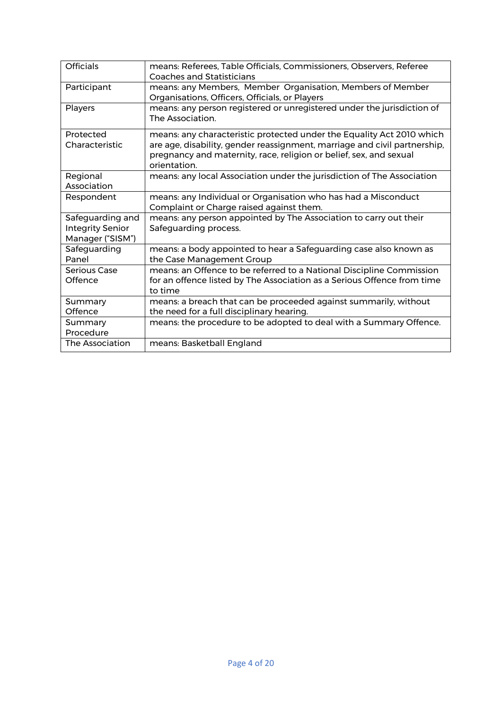| <b>Officials</b>                                                | means: Referees, Table Officials, Commissioners, Observers, Referee<br>Coaches and Statisticians                                                                                                                                         |
|-----------------------------------------------------------------|------------------------------------------------------------------------------------------------------------------------------------------------------------------------------------------------------------------------------------------|
| Participant                                                     | means: any Members, Member Organisation, Members of Member<br>Organisations, Officers, Officials, or Players                                                                                                                             |
| Players                                                         | means: any person registered or unregistered under the jurisdiction of<br>The Association.                                                                                                                                               |
| Protected<br>Characteristic                                     | means: any characteristic protected under the Equality Act 2010 which<br>are age, disability, gender reassignment, marriage and civil partnership,<br>pregnancy and maternity, race, religion or belief, sex, and sexual<br>orientation. |
| Regional<br>Association                                         | means: any local Association under the jurisdiction of The Association                                                                                                                                                                   |
| Respondent                                                      | means: any Individual or Organisation who has had a Misconduct<br>Complaint or Charge raised against them.                                                                                                                               |
| Safeguarding and<br><b>Integrity Senior</b><br>Manager ("SISM") | means: any person appointed by The Association to carry out their<br>Safeguarding process.                                                                                                                                               |
| Safeguarding<br>Panel                                           | means: a body appointed to hear a Safeguarding case also known as<br>the Case Management Group                                                                                                                                           |
| Serious Case<br>Offence                                         | means: an Offence to be referred to a National Discipline Commission<br>for an offence listed by The Association as a Serious Offence from time<br>to time                                                                               |
| Summary<br>Offence                                              | means: a breach that can be proceeded against summarily, without<br>the need for a full disciplinary hearing.                                                                                                                            |
| Summary<br>Procedure                                            | means: the procedure to be adopted to deal with a Summary Offence.                                                                                                                                                                       |
| The Association                                                 | means: Basketball England                                                                                                                                                                                                                |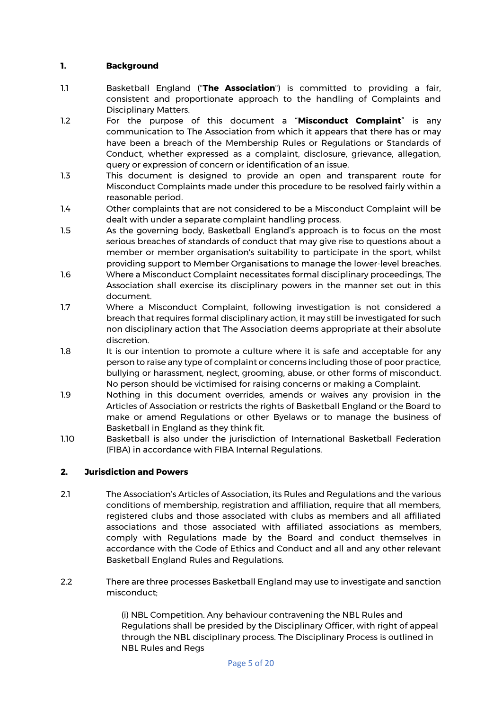## <span id="page-4-0"></span>**1. Background**

- 1.1 Basketball England ("**The Association**") is committed to providing a fair, consistent and proportionate approach to the handling of Complaints and Disciplinary Matters.
- 1.2 For the purpose of this document a "**Misconduct Complaint**" is any communication to The Association from which it appears that there has or may have been a breach of the Membership Rules or Regulations or Standards of Conduct, whether expressed as a complaint, disclosure, grievance, allegation, query or expression of concern or identification of an issue.
- 1.3 This document is designed to provide an open and transparent route for Misconduct Complaints made under this procedure to be resolved fairly within a reasonable period.
- 1.4 Other complaints that are not considered to be a Misconduct Complaint will be dealt with under a separate complaint handling process.
- 1.5 As the governing body, Basketball England's approach is to focus on the most serious breaches of standards of conduct that may give rise to questions about a member or member organisation's suitability to participate in the sport, whilst providing support to Member Organisations to manage the lower-level breaches.
- 1.6 Where a Misconduct Complaint necessitates formal disciplinary proceedings, The Association shall exercise its disciplinary powers in the manner set out in this document.
- 1.7 Where a Misconduct Complaint, following investigation is not considered a breach that requires formal disciplinary action, it may still be investigated for such non disciplinary action that The Association deems appropriate at their absolute discretion.
- 1.8 It is our intention to promote a culture where it is safe and acceptable for any person to raise any type of complaint or concerns including those of poor practice, bullying or harassment, neglect, grooming, abuse, or other forms of misconduct. No person should be victimised for raising concerns or making a Complaint.
- 1.9 Nothing in this document overrides, amends or waives any provision in the Articles of Association or restricts the rights of Basketball England or the Board to make or amend Regulations or other Byelaws or to manage the business of Basketball in England as they think fit.
- 1.10 Basketball is also under the jurisdiction of International Basketball Federation (FIBA) in accordance with FIBA Internal Regulations.

# <span id="page-4-1"></span>**2. Jurisdiction and Powers**

- 2.1 The Association's Articles of Association, its Rules and Regulations and the various conditions of membership, registration and affiliation, require that all members, registered clubs and those associated with clubs as members and all affiliated associations and those associated with affiliated associations as members, comply with Regulations made by the Board and conduct themselves in accordance with the Code of Ethics and Conduct and all and any other relevant Basketball England Rules and Regulations.
- 2.2 There are three processes Basketball England may use to investigate and sanction misconduct;

(i) NBL Competition. Any behaviour contravening the NBL Rules and Regulations shall be presided by the Disciplinary Officer, with right of appeal through the NBL disciplinary process. The Disciplinary Process is outlined in NBL Rules and Regs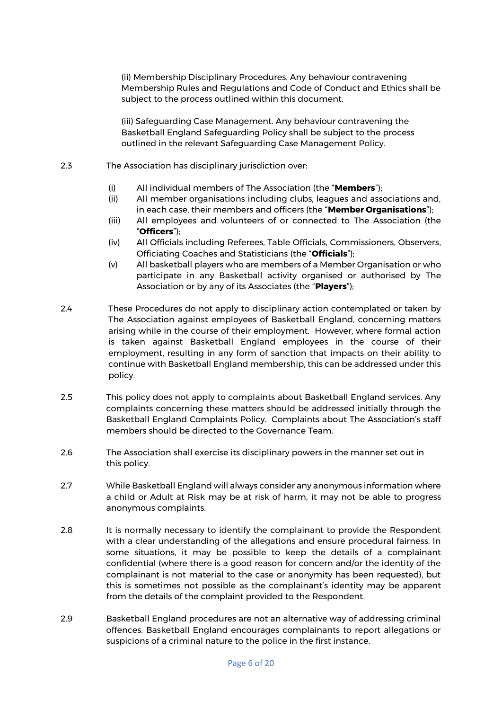(ii) Membership Disciplinary Procedures. Any behaviour contravening Membership Rules and Regulations and Code of Conduct and Ethics shall be subject to the process outlined within this document.

(iii) Safeguarding Case Management. Any behaviour contravening the Basketball England Safeguarding Policy shall be subject to the process outlined in the relevant Safeguarding Case Management Policy.

- 2.3 The Association has disciplinary jurisdiction over:
	- (i) All individual members of The Association (the "**Members**");
	- (ii) All member organisations including clubs, leagues and associations and, in each case, their members and officers (the "**Member Organisations**");
	- (iii) All employees and volunteers of or connected to The Association (the "**Officers**");
	- (iv) All Officials including Referees, Table Officials, Commissioners, Observers, Officiating Coaches and Statisticians (the "**Officials**");
	- (v) All basketball players who are members of a Member Organisation or who participate in any Basketball activity organised or authorised by The Association or by any of its Associates (the "**Players**");
- 2.4 These Procedures do not apply to disciplinary action contemplated or taken by The Association against employees of Basketball England, concerning matters arising while in the course of their employment. However, where formal action is taken against Basketball England employees in the course of their employment, resulting in any form of sanction that impacts on their ability to continue with Basketball England membership, this can be addressed under this policy.
- 2.5 This policy does not apply to complaints about Basketball England services. Any complaints concerning these matters should be addressed initially through the Basketball England Complaints Policy. Complaints about The Association's staff members should be directed to the Governance Team.
- 2.6 The Association shall exercise its disciplinary powers in the manner set out in this policy.
- 2.7 While Basketball England will always consider any anonymous information where a child or Adult at Risk may be at risk of harm, it may not be able to progress anonymous complaints.
- 2.8 It is normally necessary to identify the complainant to provide the Respondent with a clear understanding of the allegations and ensure procedural fairness. In some situations, it may be possible to keep the details of a complainant confidential (where there is a good reason for concern and/or the identity of the complainant is not material to the case or anonymity has been requested), but this is sometimes not possible as the complainant's identity may be apparent from the details of the complaint provided to the Respondent.
- 2.9 Basketball England procedures are not an alternative way of addressing criminal offences. Basketball England encourages complainants to report allegations or suspicions of a criminal nature to the police in the first instance.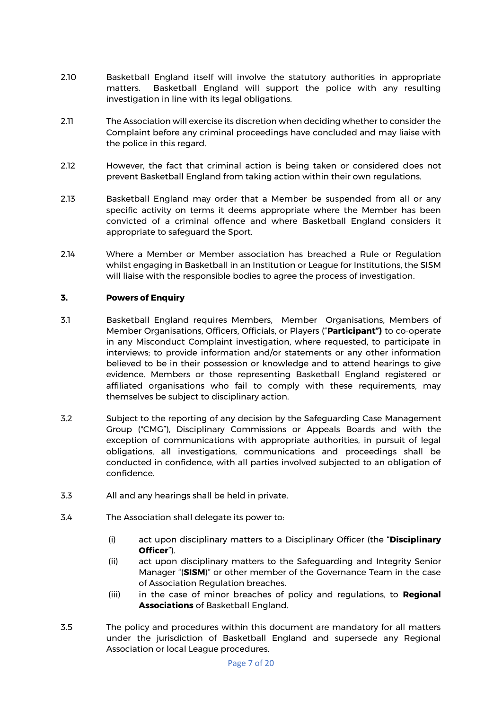- 2.10 Basketball England itself will involve the statutory authorities in appropriate matters. Basketball England will support the police with any resulting investigation in line with its legal obligations.
- 2.11 The Association will exercise its discretion when deciding whether to consider the Complaint before any criminal proceedings have concluded and may liaise with the police in this regard.
- 2.12 However, the fact that criminal action is being taken or considered does not prevent Basketball England from taking action within their own regulations.
- 2.13 Basketball England may order that a Member be suspended from all or any specific activity on terms it deems appropriate where the Member has been convicted of a criminal offence and where Basketball England considers it appropriate to safeguard the Sport.
- 2.14 Where a Member or Member association has breached a Rule or Regulation whilst engaging in Basketball in an Institution or League for Institutions, the SISM will liaise with the responsible bodies to agree the process of investigation.

#### <span id="page-6-0"></span>**3. Powers of Enquiry**

- 3.1 Basketball England requires Members, Member Organisations, Members of Member Organisations, Officers, Officials, or Players ("**Participant")** to co-operate in any Misconduct Complaint investigation, where requested, to participate in interviews; to provide information and/or statements or any other information believed to be in their possession or knowledge and to attend hearings to give evidence. Members or those representing Basketball England registered or affiliated organisations who fail to comply with these requirements, may themselves be subject to disciplinary action.
- 3.2 Subject to the reporting of any decision by the Safeguarding Case Management Group ("CMG"), Disciplinary Commissions or Appeals Boards and with the exception of communications with appropriate authorities, in pursuit of legal obligations, all investigations, communications and proceedings shall be conducted in confidence, with all parties involved subjected to an obligation of confidence.
- 3.3 All and any hearings shall be held in private.
- 3.4 The Association shall delegate its power to:
	- (i) act upon disciplinary matters to a Disciplinary Officer (the "**Disciplinary Officer**").
	- (ii) act upon disciplinary matters to the Safeguarding and Integrity Senior Manager "(**SISM**)" or other member of the Governance Team in the case of Association Regulation breaches.
	- (iii) in the case of minor breaches of policy and regulations, to **Regional Associations** of Basketball England.
- 3.5 The policy and procedures within this document are mandatory for all matters under the jurisdiction of Basketball England and supersede any Regional Association or local League procedures.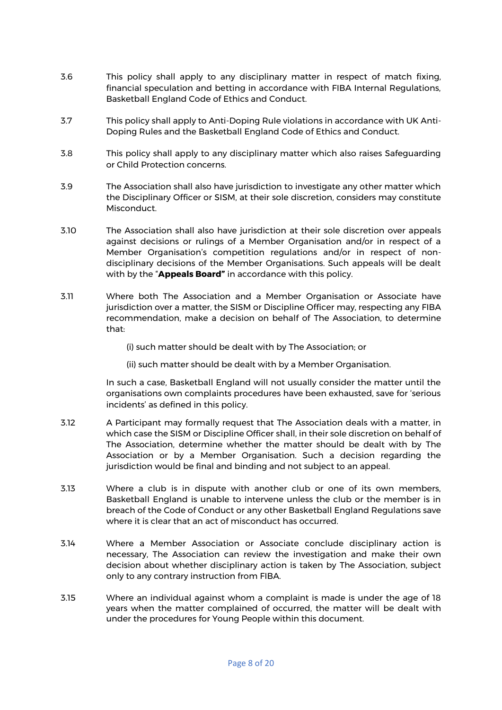- 3.6 This policy shall apply to any disciplinary matter in respect of match fixing, financial speculation and betting in accordance with FIBA Internal Regulations, Basketball England Code of Ethics and Conduct.
- 3.7 This policy shall apply to Anti-Doping Rule violations in accordance with UK Anti-Doping Rules and the Basketball England Code of Ethics and Conduct.
- 3.8 This policy shall apply to any disciplinary matter which also raises Safeguarding or Child Protection concerns.
- 3.9 The Association shall also have jurisdiction to investigate any other matter which the Disciplinary Officer or SISM, at their sole discretion, considers may constitute Misconduct.
- 3.10 The Association shall also have jurisdiction at their sole discretion over appeals against decisions or rulings of a Member Organisation and/or in respect of a Member Organisation's competition regulations and/or in respect of nondisciplinary decisions of the Member Organisations. Such appeals will be dealt with by the "**Appeals Board"** in accordance with this policy.
- 3.11 Where both The Association and a Member Organisation or Associate have jurisdiction over a matter, the SISM or Discipline Officer may, respecting any FIBA recommendation, make a decision on behalf of The Association, to determine that:
	- (i) such matter should be dealt with by The Association; or
	- (ii) such matter should be dealt with by a Member Organisation.

In such a case, Basketball England will not usually consider the matter until the organisations own complaints procedures have been exhausted, save for 'serious incidents' as defined in this policy.

- 3.12 A Participant may formally request that The Association deals with a matter, in which case the SISM or Discipline Officer shall, in their sole discretion on behalf of The Association, determine whether the matter should be dealt with by The Association or by a Member Organisation. Such a decision regarding the jurisdiction would be final and binding and not subject to an appeal.
- 3.13 Where a club is in dispute with another club or one of its own members, Basketball England is unable to intervene unless the club or the member is in breach of the Code of Conduct or any other Basketball England Regulations save where it is clear that an act of misconduct has occurred.
- 3.14 Where a Member Association or Associate conclude disciplinary action is necessary, The Association can review the investigation and make their own decision about whether disciplinary action is taken by The Association, subject only to any contrary instruction from FIBA.
- 3.15 Where an individual against whom a complaint is made is under the age of 18 years when the matter complained of occurred, the matter will be dealt with under the procedures for Young People within this document.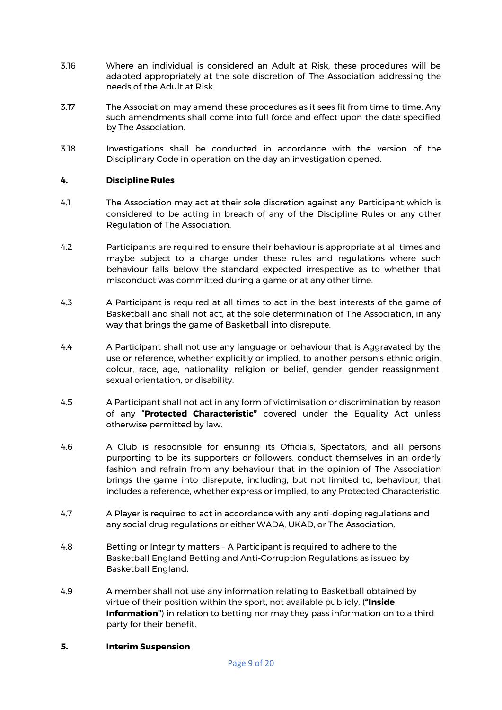- 3.16 Where an individual is considered an Adult at Risk, these procedures will be adapted appropriately at the sole discretion of The Association addressing the needs of the Adult at Risk.
- 3.17 The Association may amend these procedures as it sees fit from time to time. Any such amendments shall come into full force and effect upon the date specified by The Association.
- 3.18 Investigations shall be conducted in accordance with the version of the Disciplinary Code in operation on the day an investigation opened.

#### <span id="page-8-0"></span>**4. Discipline Rules**

- 4.1 The Association may act at their sole discretion against any Participant which is considered to be acting in breach of any of the Discipline Rules or any other Regulation of The Association.
- 4.2 Participants are required to ensure their behaviour is appropriate at all times and maybe subject to a charge under these rules and regulations where such behaviour falls below the standard expected irrespective as to whether that misconduct was committed during a game or at any other time.
- 4.3 A Participant is required at all times to act in the best interests of the game of Basketball and shall not act, at the sole determination of The Association, in any way that brings the game of Basketball into disrepute.
- 4.4 A Participant shall not use any language or behaviour that is Aggravated by the use or reference, whether explicitly or implied, to another person's ethnic origin, colour, race, age, nationality, religion or belief, gender, gender reassignment, sexual orientation, or disability.
- 4.5 A Participant shall not act in any form of victimisation or discrimination by reason of any "**Protected Characteristic"** covered under the Equality Act unless otherwise permitted by law.
- 4.6 A Club is responsible for ensuring its Officials, Spectators, and all persons purporting to be its supporters or followers, conduct themselves in an orderly fashion and refrain from any behaviour that in the opinion of The Association brings the game into disrepute, including, but not limited to, behaviour, that includes a reference, whether express or implied, to any Protected Characteristic.
- 4.7 A Player is required to act in accordance with any anti-doping regulations and any social drug regulations or either WADA, UKAD, or The Association.
- 4.8 Betting or Integrity matters A Participant is required to adhere to the Basketball England Betting and Anti-Corruption Regulations as issued by Basketball England.
- 4.9 A member shall not use any information relating to Basketball obtained by virtue of their position within the sport, not available publicly, (**"Inside Information"**) in relation to betting nor may they pass information on to a third party for their benefit.

#### <span id="page-8-1"></span>**5. Interim Suspension**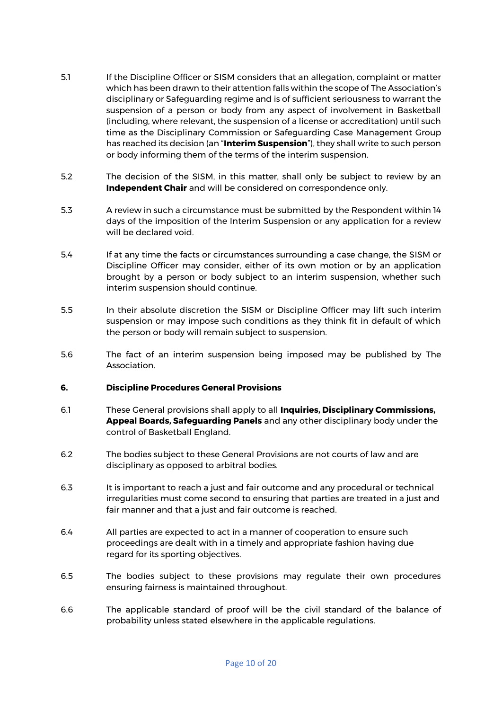- 5.1 If the Discipline Officer or SISM considers that an allegation, complaint or matter which has been drawn to their attention falls within the scope of The Association's disciplinary or Safeguarding regime and is of sufficient seriousness to warrant the suspension of a person or body from any aspect of involvement in Basketball (including, where relevant, the suspension of a license or accreditation) until such time as the Disciplinary Commission or Safeguarding Case Management Group has reached its decision (an "**Interim Suspension**"), they shall write to such person or body informing them of the terms of the interim suspension.
- 5.2 The decision of the SISM, in this matter, shall only be subject to review by an **Independent Chair** and will be considered on correspondence only.
- 5.3 A review in such a circumstance must be submitted by the Respondent within 14 days of the imposition of the Interim Suspension or any application for a review will be declared void.
- 5.4 If at any time the facts or circumstances surrounding a case change, the SISM or Discipline Officer may consider, either of its own motion or by an application brought by a person or body subject to an interim suspension, whether such interim suspension should continue.
- 5.5 In their absolute discretion the SISM or Discipline Officer may lift such interim suspension or may impose such conditions as they think fit in default of which the person or body will remain subject to suspension.
- 5.6 The fact of an interim suspension being imposed may be published by The Association.

#### <span id="page-9-0"></span>**6. Discipline Procedures General Provisions**

- 6.1 These General provisions shall apply to all **Inquiries, Disciplinary Commissions, Appeal Boards, Safeguarding Panels** and any other disciplinary body under the control of Basketball England.
- 6.2 The bodies subject to these General Provisions are not courts of law and are disciplinary as opposed to arbitral bodies.
- 6.3 It is important to reach a just and fair outcome and any procedural or technical irregularities must come second to ensuring that parties are treated in a just and fair manner and that a just and fair outcome is reached.
- 6.4 All parties are expected to act in a manner of cooperation to ensure such proceedings are dealt with in a timely and appropriate fashion having due regard for its sporting objectives.
- 6.5 The bodies subject to these provisions may regulate their own procedures ensuring fairness is maintained throughout.
- 6.6 The applicable standard of proof will be the civil standard of the balance of probability unless stated elsewhere in the applicable regulations.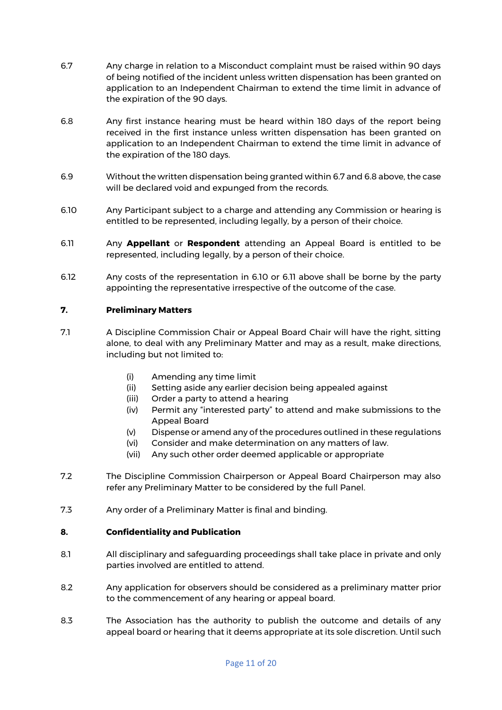- 6.7 Any charge in relation to a Misconduct complaint must be raised within 90 days of being notified of the incident unless written dispensation has been granted on application to an Independent Chairman to extend the time limit in advance of the expiration of the 90 days.
- 6.8 Any first instance hearing must be heard within 180 days of the report being received in the first instance unless written dispensation has been granted on application to an Independent Chairman to extend the time limit in advance of the expiration of the 180 days.
- 6.9 Without the written dispensation being granted within 6.7 and 6.8 above, the case will be declared void and expunged from the records.
- 6.10 Any Participant subject to a charge and attending any Commission or hearing is entitled to be represented, including legally, by a person of their choice.
- 6.11 Any **Appellant** or **Respondent** attending an Appeal Board is entitled to be represented, including legally, by a person of their choice.
- 6.12 Any costs of the representation in 6.10 or 6.11 above shall be borne by the party appointing the representative irrespective of the outcome of the case.

#### <span id="page-10-0"></span>**7. Preliminary Matters**

- 7.1 A Discipline Commission Chair or Appeal Board Chair will have the right, sitting alone, to deal with any Preliminary Matter and may as a result, make directions, including but not limited to:
	- (i) Amending any time limit
	- (ii) Setting aside any earlier decision being appealed against
	- (iii) Order a party to attend a hearing
	- (iv) Permit any "interested party" to attend and make submissions to the Appeal Board
	- (v) Dispense or amend any of the procedures outlined in these regulations
	- (vi) Consider and make determination on any matters of law.
	- (vii) Any such other order deemed applicable or appropriate
- 7.2 The Discipline Commission Chairperson or Appeal Board Chairperson may also refer any Preliminary Matter to be considered by the full Panel.
- 7.3 Any order of a Preliminary Matter is final and binding.

#### <span id="page-10-1"></span>**8. Confidentiality and Publication**

- 8.1 All disciplinary and safeguarding proceedings shall take place in private and only parties involved are entitled to attend.
- 8.2 Any application for observers should be considered as a preliminary matter prior to the commencement of any hearing or appeal board.
- 8.3 The Association has the authority to publish the outcome and details of any appeal board or hearing that it deems appropriate at its sole discretion. Until such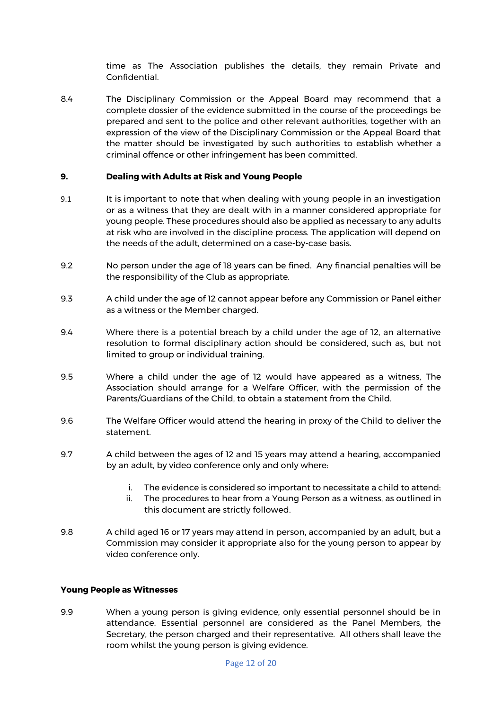time as The Association publishes the details, they remain Private and Confidential.

8.4 The Disciplinary Commission or the Appeal Board may recommend that a complete dossier of the evidence submitted in the course of the proceedings be prepared and sent to the police and other relevant authorities, together with an expression of the view of the Disciplinary Commission or the Appeal Board that the matter should be investigated by such authorities to establish whether a criminal offence or other infringement has been committed.

#### <span id="page-11-0"></span>**9. Dealing with Adults at Risk and Young People**

- 9.1 It is important to note that when dealing with young people in an investigation or as a witness that they are dealt with in a manner considered appropriate for young people. These procedures should also be applied as necessary to any adults at risk who are involved in the discipline process. The application will depend on the needs of the adult, determined on a case-by-case basis.
- 9.2 No person under the age of 18 years can be fined. Any financial penalties will be the responsibility of the Club as appropriate.
- 9.3 A child under the age of 12 cannot appear before any Commission or Panel either as a witness or the Member charged.
- 9.4 Where there is a potential breach by a child under the age of 12, an alternative resolution to formal disciplinary action should be considered, such as, but not limited to group or individual training.
- 9.5 Where a child under the age of 12 would have appeared as a witness, The Association should arrange for a Welfare Officer, with the permission of the Parents/Guardians of the Child, to obtain a statement from the Child.
- 9.6 The Welfare Officer would attend the hearing in proxy of the Child to deliver the statement.
- 9.7 A child between the ages of 12 and 15 years may attend a hearing, accompanied by an adult, by video conference only and only where:
	- i. The evidence is considered so important to necessitate a child to attend:
	- ii. The procedures to hear from a Young Person as a witness, as outlined in this document are strictly followed.
- 9.8 A child aged 16 or 17 years may attend in person, accompanied by an adult, but a Commission may consider it appropriate also for the young person to appear by video conference only.

#### <span id="page-11-1"></span>**Young People as Witnesses**

9.9 When a young person is giving evidence, only essential personnel should be in attendance. Essential personnel are considered as the Panel Members, the Secretary, the person charged and their representative. All others shall leave the room whilst the young person is giving evidence.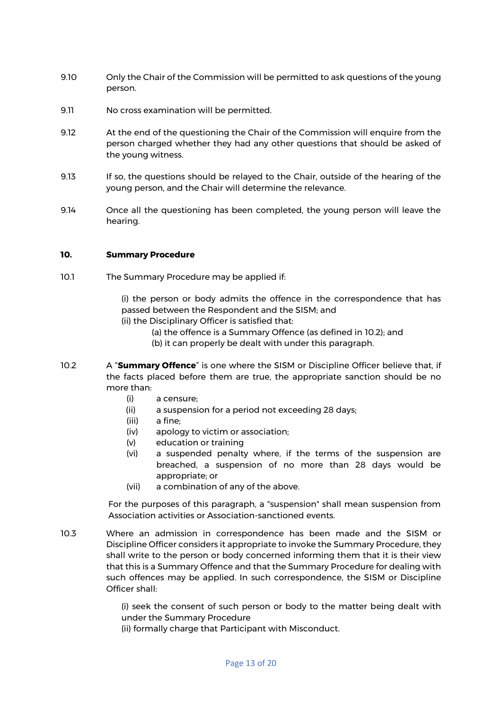- 9.10 Only the Chair of the Commission will be permitted to ask questions of the young person.
- 9.11 No cross examination will be permitted.
- 9.12 At the end of the questioning the Chair of the Commission will enquire from the person charged whether they had any other questions that should be asked of the young witness.
- 9.13 If so, the questions should be relayed to the Chair, outside of the hearing of the young person, and the Chair will determine the relevance.
- 9.14 Once all the questioning has been completed, the young person will leave the hearing.

#### <span id="page-12-0"></span>**10. Summary Procedure**

10.1 The Summary Procedure may be applied if:

(i) the person or body admits the offence in the correspondence that has passed between the Respondent and the SISM; and

- (ii) the Disciplinary Officer is satisfied that:
	- (a) the offence is a Summary Offence (as defined in 10.2); and
	- (b) it can properly be dealt with under this paragraph.
- 10.2 A "**Summary Offence**" is one where the SISM or Discipline Officer believe that, if the facts placed before them are true, the appropriate sanction should be no more than:
	- (i) a censure;
	- (ii) a suspension for a period not exceeding 28 days;
	- (iii) a fine;
	- (iv) apology to victim or association;
	- (v) education or training
	- (vi) a suspended penalty where, if the terms of the suspension are breached, a suspension of no more than 28 days would be appropriate; or
	- (vii) a combination of any of the above.

For the purposes of this paragraph, a "suspension" shall mean suspension from Association activities or Association-sanctioned events.

10.3 Where an admission in correspondence has been made and the SISM or Discipline Officer considers it appropriate to invoke the Summary Procedure, they shall write to the person or body concerned informing them that it is their view that this is a Summary Offence and that the Summary Procedure for dealing with such offences may be applied. In such correspondence, the SISM or Discipline Officer shall:

> (i) seek the consent of such person or body to the matter being dealt with under the Summary Procedure

(ii) formally charge that Participant with Misconduct.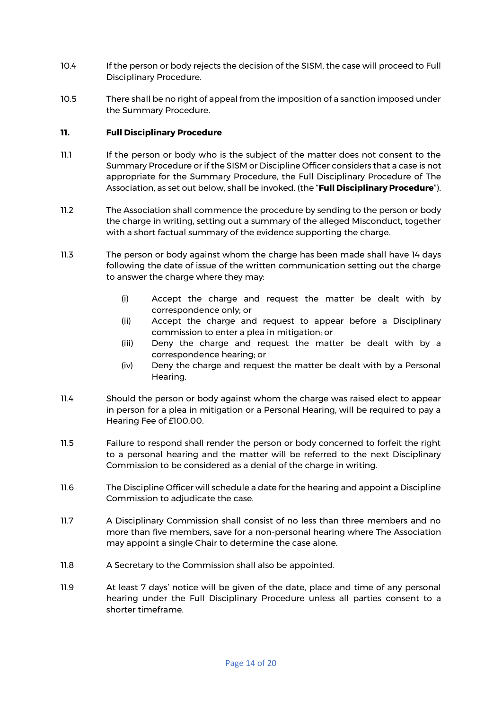- 10.4 If the person or body rejects the decision of the SISM, the case will proceed to Full Disciplinary Procedure.
- 10.5 There shall be no right of appeal from the imposition of a sanction imposed under the Summary Procedure.

#### <span id="page-13-0"></span>**11. Full Disciplinary Procedure**

- 11.1 If the person or body who is the subject of the matter does not consent to the Summary Procedure or if the SISM or Discipline Officer considers that a case is not appropriate for the Summary Procedure, the Full Disciplinary Procedure of The Association, as set out below, shall be invoked. (the "**Full Disciplinary Procedure**").
- 11.2 The Association shall commence the procedure by sending to the person or body the charge in writing, setting out a summary of the alleged Misconduct, together with a short factual summary of the evidence supporting the charge.
- 11.3 The person or body against whom the charge has been made shall have 14 days following the date of issue of the written communication setting out the charge to answer the charge where they may:
	- (i) Accept the charge and request the matter be dealt with by correspondence only; or
	- (ii) Accept the charge and request to appear before a Disciplinary commission to enter a plea in mitigation; or
	- (iii) Deny the charge and request the matter be dealt with by a correspondence hearing; or
	- (iv) Deny the charge and request the matter be dealt with by a Personal Hearing.
- 11.4 Should the person or body against whom the charge was raised elect to appear in person for a plea in mitigation or a Personal Hearing, will be required to pay a Hearing Fee of £100.00.
- 11.5 Failure to respond shall render the person or body concerned to forfeit the right to a personal hearing and the matter will be referred to the next Disciplinary Commission to be considered as a denial of the charge in writing.
- 11.6 The Discipline Officer will schedule a date for the hearing and appoint a Discipline Commission to adjudicate the case.
- 11.7 A Disciplinary Commission shall consist of no less than three members and no more than five members, save for a non-personal hearing where The Association may appoint a single Chair to determine the case alone.
- 11.8 A Secretary to the Commission shall also be appointed.
- 11.9 At least 7 days' notice will be given of the date, place and time of any personal hearing under the Full Disciplinary Procedure unless all parties consent to a shorter timeframe.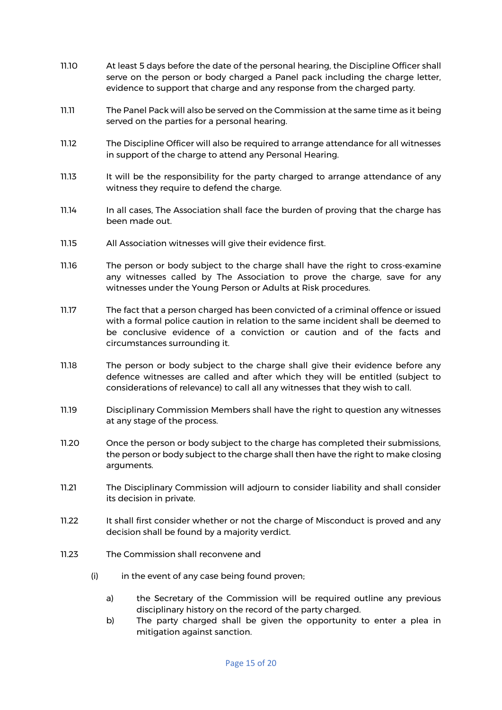- 11.10 At least 5 days before the date of the personal hearing, the Discipline Officer shall serve on the person or body charged a Panel pack including the charge letter, evidence to support that charge and any response from the charged party.
- 11.11 The Panel Pack will also be served on the Commission at the same time as it being served on the parties for a personal hearing.
- 11.12 The Discipline Officer will also be required to arrange attendance for all witnesses in support of the charge to attend any Personal Hearing.
- 11.13 It will be the responsibility for the party charged to arrange attendance of any witness they require to defend the charge.
- 11.14 In all cases, The Association shall face the burden of proving that the charge has been made out.
- 11.15 All Association witnesses will give their evidence first.
- 11.16 The person or body subject to the charge shall have the right to cross-examine any witnesses called by The Association to prove the charge, save for any witnesses under the Young Person or Adults at Risk procedures.
- 11.17 The fact that a person charged has been convicted of a criminal offence or issued with a formal police caution in relation to the same incident shall be deemed to be conclusive evidence of a conviction or caution and of the facts and circumstances surrounding it.
- 11.18 The person or body subject to the charge shall give their evidence before any defence witnesses are called and after which they will be entitled (subject to considerations of relevance) to call all any witnesses that they wish to call.
- 11.19 Disciplinary Commission Members shall have the right to question any witnesses at any stage of the process.
- 11.20 Once the person or body subject to the charge has completed their submissions, the person or body subject to the charge shall then have the right to make closing arguments.
- 11.21 The Disciplinary Commission will adjourn to consider liability and shall consider its decision in private.
- 11.22 It shall first consider whether or not the charge of Misconduct is proved and any decision shall be found by a majority verdict.
- 11.23 The Commission shall reconvene and
	- (i) in the event of any case being found proven;
		- a) the Secretary of the Commission will be required outline any previous disciplinary history on the record of the party charged.
		- b) The party charged shall be given the opportunity to enter a plea in mitigation against sanction.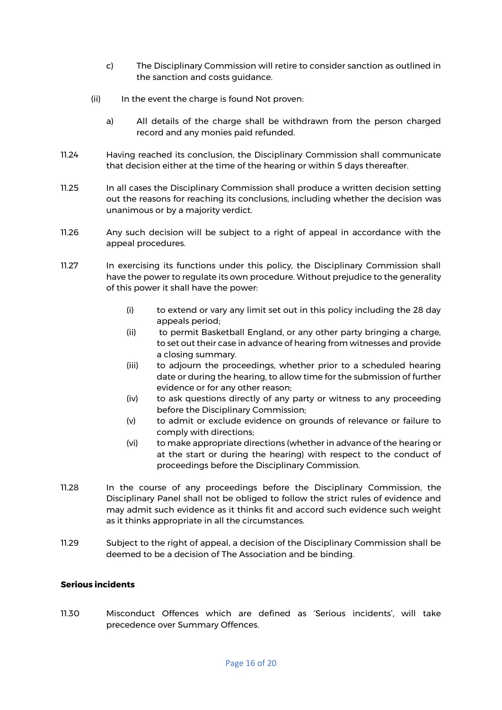- c) The Disciplinary Commission will retire to consider sanction as outlined in the sanction and costs guidance.
- (ii) In the event the charge is found Not proven:
	- a) All details of the charge shall be withdrawn from the person charged record and any monies paid refunded.
- 11.24 Having reached its conclusion, the Disciplinary Commission shall communicate that decision either at the time of the hearing or within 5 days thereafter.
- 11.25 In all cases the Disciplinary Commission shall produce a written decision setting out the reasons for reaching its conclusions, including whether the decision was unanimous or by a majority verdict.
- 11.26 Any such decision will be subject to a right of appeal in accordance with the appeal procedures.
- 11.27 In exercising its functions under this policy, the Disciplinary Commission shall have the power to regulate its own procedure. Without prejudice to the generality of this power it shall have the power:
	- (i) to extend or vary any limit set out in this policy including the 28 day appeals period;
	- (ii) to permit Basketball England, or any other party bringing a charge, to set out their case in advance of hearing from witnesses and provide a closing summary.
	- (iii) to adjourn the proceedings, whether prior to a scheduled hearing date or during the hearing, to allow time for the submission of further evidence or for any other reason;
	- (iv) to ask questions directly of any party or witness to any proceeding before the Disciplinary Commission;
	- (v) to admit or exclude evidence on grounds of relevance or failure to comply with directions;
	- (vi) to make appropriate directions (whether in advance of the hearing or at the start or during the hearing) with respect to the conduct of proceedings before the Disciplinary Commission.
- 11.28 In the course of any proceedings before the Disciplinary Commission, the Disciplinary Panel shall not be obliged to follow the strict rules of evidence and may admit such evidence as it thinks fit and accord such evidence such weight as it thinks appropriate in all the circumstances.
- <span id="page-15-0"></span>11.29 Subject to the right of appeal, a decision of the Disciplinary Commission shall be deemed to be a decision of The Association and be binding.

#### **Serious incidents**

11.30 Misconduct Offences which are defined as 'Serious incidents', will take precedence over Summary Offences.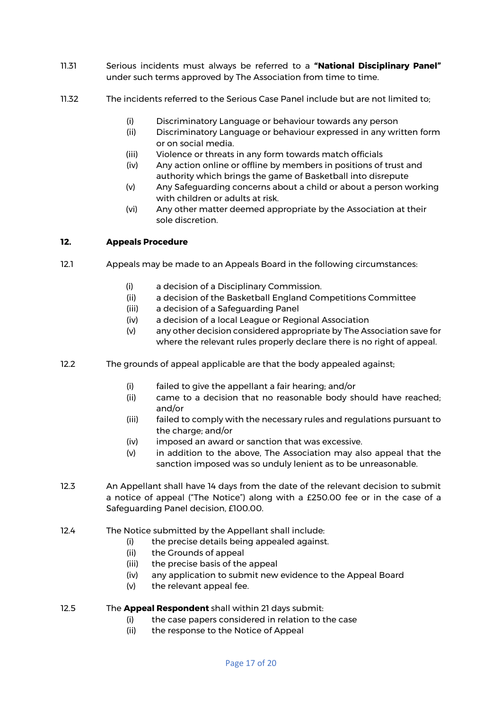- 11.31 Serious incidents must always be referred to a **"National Disciplinary Panel"** under such terms approved by The Association from time to time.
- 11.32 The incidents referred to the Serious Case Panel include but are not limited to;
	- (i) Discriminatory Language or behaviour towards any person
	- (ii) Discriminatory Language or behaviour expressed in any written form or on social media.
	- (iii) Violence or threats in any form towards match officials
	- (iv) Any action online or offline by members in positions of trust and authority which brings the game of Basketball into disrepute
	- (v) Any Safeguarding concerns about a child or about a person working with children or adults at risk.
	- (vi) Any other matter deemed appropriate by the Association at their sole discretion.

## <span id="page-16-0"></span>**12. Appeals Procedure**

- 12.1 Appeals may be made to an Appeals Board in the following circumstances:
	- (i) a decision of a Disciplinary Commission.
	- (ii) a decision of the Basketball England Competitions Committee
	- (iii) a decision of a Safeguarding Panel
	- (iv) a decision of a local League or Regional Association
	- (v) any other decision considered appropriate by The Association save for where the relevant rules properly declare there is no right of appeal.
- 12.2 The grounds of appeal applicable are that the body appealed against;
	- (i) failed to give the appellant a fair hearing; and/or
	- (ii) came to a decision that no reasonable body should have reached; and/or
	- (iii) failed to comply with the necessary rules and regulations pursuant to the charge; and/or
	- (iv) imposed an award or sanction that was excessive.
	- (v) in addition to the above, The Association may also appeal that the sanction imposed was so unduly lenient as to be unreasonable.
- 12.3 An Appellant shall have 14 days from the date of the relevant decision to submit a notice of appeal ("The Notice") along with a £250.00 fee or in the case of a Safeguarding Panel decision, £100.00.
- 12.4 The Notice submitted by the Appellant shall include:
	- (i) the precise details being appealed against.
	- (ii) the Grounds of appeal
	- (iii) the precise basis of the appeal
	- (iv) any application to submit new evidence to the Appeal Board
	- (v) the relevant appeal fee.
- 12.5 The **Appeal Respondent** shall within 21 days submit:
	- (i) the case papers considered in relation to the case
	- (ii) the response to the Notice of Appeal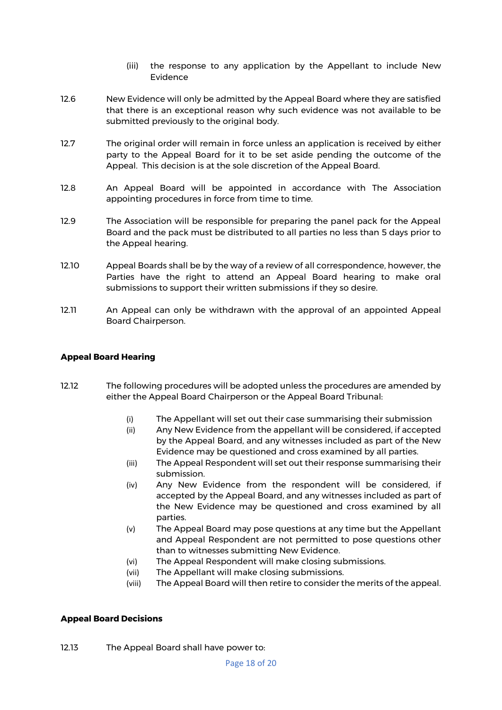- (iii) the response to any application by the Appellant to include New Evidence
- 12.6 New Evidence will only be admitted by the Appeal Board where they are satisfied that there is an exceptional reason why such evidence was not available to be submitted previously to the original body.
- 12.7 The original order will remain in force unless an application is received by either party to the Appeal Board for it to be set aside pending the outcome of the Appeal. This decision is at the sole discretion of the Appeal Board.
- 12.8 An Appeal Board will be appointed in accordance with The Association appointing procedures in force from time to time.
- 12.9 The Association will be responsible for preparing the panel pack for the Appeal Board and the pack must be distributed to all parties no less than 5 days prior to the Appeal hearing.
- 12.10 Appeal Boards shall be by the way of a review of all correspondence, however, the Parties have the right to attend an Appeal Board hearing to make oral submissions to support their written submissions if they so desire.
- 12.11 An Appeal can only be withdrawn with the approval of an appointed Appeal Board Chairperson.

#### <span id="page-17-0"></span>**Appeal Board Hearing**

- 12.12 The following procedures will be adopted unless the procedures are amended by either the Appeal Board Chairperson or the Appeal Board Tribunal:
	- (i) The Appellant will set out their case summarising their submission
	- (ii) Any New Evidence from the appellant will be considered, if accepted by the Appeal Board, and any witnesses included as part of the New Evidence may be questioned and cross examined by all parties.
	- (iii) The Appeal Respondent will set out their response summarising their submission.
	- (iv) Any New Evidence from the respondent will be considered, if accepted by the Appeal Board, and any witnesses included as part of the New Evidence may be questioned and cross examined by all parties.
	- (v) The Appeal Board may pose questions at any time but the Appellant and Appeal Respondent are not permitted to pose questions other than to witnesses submitting New Evidence.
	- (vi) The Appeal Respondent will make closing submissions.
	- (vii) The Appellant will make closing submissions.
	- (viii) The Appeal Board will then retire to consider the merits of the appeal.

#### <span id="page-17-1"></span>**Appeal Board Decisions**

12.13 The Appeal Board shall have power to: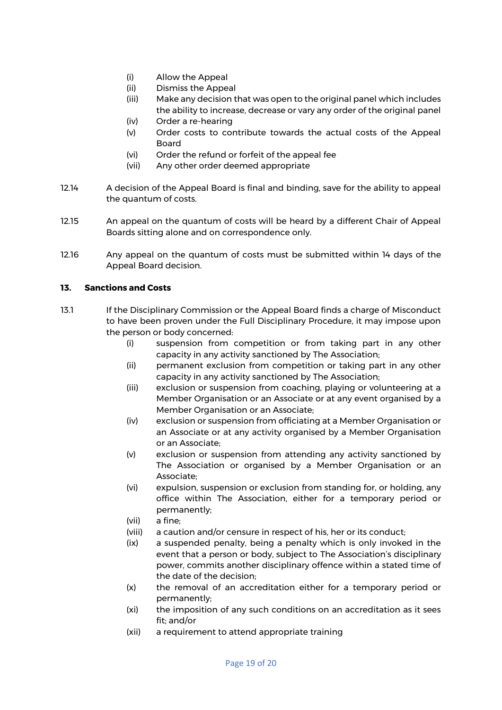- (i) Allow the Appeal
- (ii) Dismiss the Appeal
- (iii) Make any decision that was open to the original panel which includes the ability to increase, decrease or vary any order of the original panel
- (iv) Order a re-hearing
- (v) Order costs to contribute towards the actual costs of the Appeal Board
- (vi) Order the refund or forfeit of the appeal fee
- (vii) Any other order deemed appropriate
- 12.14 A decision of the Appeal Board is final and binding, save for the ability to appeal the quantum of costs.
- 12.15 An appeal on the quantum of costs will be heard by a different Chair of Appeal Boards sitting alone and on correspondence only.
- 12.16 Any appeal on the quantum of costs must be submitted within 14 days of the Appeal Board decision.

## <span id="page-18-0"></span>**13. Sanctions and Costs**

- 13.1 If the Disciplinary Commission or the Appeal Board finds a charge of Misconduct to have been proven under the Full Disciplinary Procedure, it may impose upon the person or body concerned:
	- (i) suspension from competition or from taking part in any other capacity in any activity sanctioned by The Association;
	- (ii) permanent exclusion from competition or taking part in any other capacity in any activity sanctioned by The Association;
	- (iii) exclusion or suspension from coaching, playing or volunteering at a Member Organisation or an Associate or at any event organised by a Member Organisation or an Associate;
	- (iv) exclusion or suspension from officiating at a Member Organisation or an Associate or at any activity organised by a Member Organisation or an Associate;
	- (v) exclusion or suspension from attending any activity sanctioned by The Association or organised by a Member Organisation or an Associate;
	- (vi) expulsion, suspension or exclusion from standing for, or holding, any office within The Association, either for a temporary period or permanently;
	- (vii) a fine;
	- (viii) a caution and/or censure in respect of his, her or its conduct;
	- (ix) a suspended penalty, being a penalty which is only invoked in the event that a person or body, subject to The Association's disciplinary power, commits another disciplinary offence within a stated time of the date of the decision;
	- (x) the removal of an accreditation either for a temporary period or permanently;
	- (xi) the imposition of any such conditions on an accreditation as it sees fit; and/or
	- (xii) a requirement to attend appropriate training